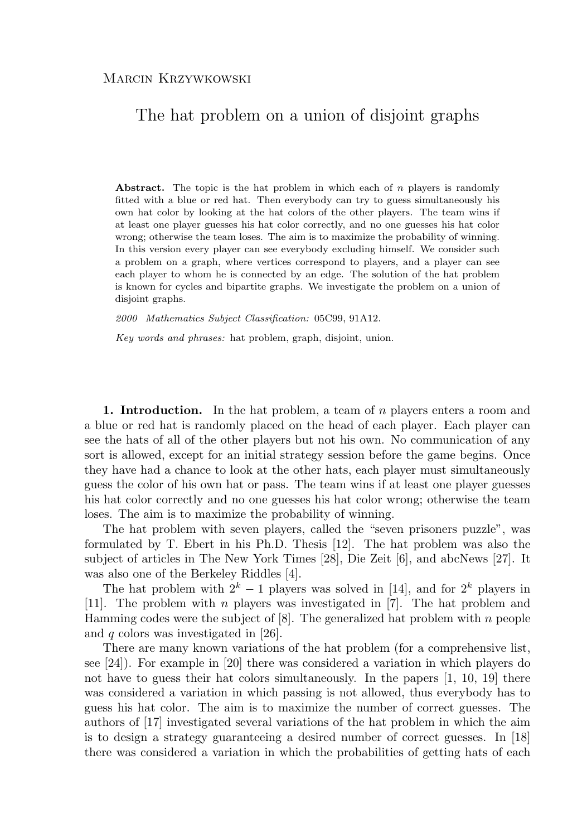## The hat problem on a union of disjoint graphs

**Abstract.** The topic is the hat problem in which each of n players is randomly fitted with a blue or red hat. Then everybody can try to guess simultaneously his own hat color by looking at the hat colors of the other players. The team wins if at least one player guesses his hat color correctly, and no one guesses his hat color wrong; otherwise the team loses. The aim is to maximize the probability of winning. In this version every player can see everybody excluding himself. We consider such a problem on a graph, where vertices correspond to players, and a player can see each player to whom he is connected by an edge. The solution of the hat problem is known for cycles and bipartite graphs. We investigate the problem on a union of disjoint graphs.

*2000 Mathematics Subject Classification:* 05C99, 91A12.

*Key words and phrases:* hat problem, graph, disjoint, union.

**1. Introduction.** In the hat problem, a team of n players enters a room and a blue or red hat is randomly placed on the head of each player. Each player can see the hats of all of the other players but not his own. No communication of any sort is allowed, except for an initial strategy session before the game begins. Once they have had a chance to look at the other hats, each player must simultaneously guess the color of his own hat or pass. The team wins if at least one player guesses his hat color correctly and no one guesses his hat color wrong; otherwise the team loses. The aim is to maximize the probability of winning.

The hat problem with seven players, called the "seven prisoners puzzle", was formulated by T. Ebert in his Ph.D. Thesis [12]. The hat problem was also the subject of articles in The New York Times [28], Die Zeit [6], and abcNews [27]. It was also one of the Berkeley Riddles [4].

The hat problem with  $2^k - 1$  players was solved in [14], and for  $2^k$  players in [11]. The problem with n players was investigated in [7]. The hat problem and Hamming codes were the subject of  $[8]$ . The generalized hat problem with n people and  $q$  colors was investigated in [26].

There are many known variations of the hat problem (for a comprehensive list, see [24]). For example in [20] there was considered a variation in which players do not have to guess their hat colors simultaneously. In the papers  $[1, 10, 19]$  there was considered a variation in which passing is not allowed, thus everybody has to guess his hat color. The aim is to maximize the number of correct guesses. The authors of [17] investigated several variations of the hat problem in which the aim is to design a strategy guaranteeing a desired number of correct guesses. In [18] there was considered a variation in which the probabilities of getting hats of each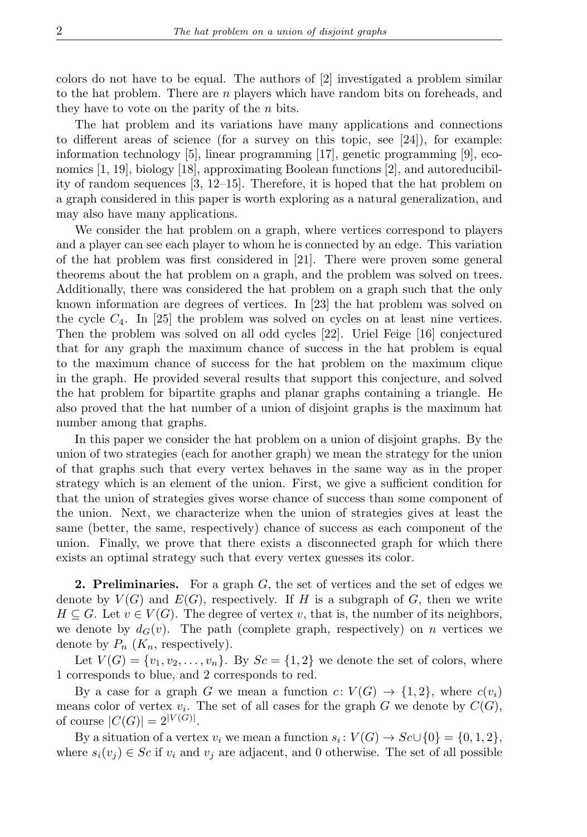colors do not have to be equal. The authors of [2] investigated a problem similar to the hat problem. There are n players which have random bits on foreheads, and they have to vote on the parity of the  $n$  bits.

The hat problem and its variations have many applications and connections to different areas of science (for a survey on this topic, see [24]), for example: information technology [5], linear programming [17], genetic programming [9], economics [1, 19], biology [18], approximating Boolean functions [2], and autoreducibility of random sequences [3, 12–15]. Therefore, it is hoped that the hat problem on a graph considered in this paper is worth exploring as a natural generalization, and may also have many applications.

We consider the hat problem on a graph, where vertices correspond to players and a player can see each player to whom he is connected by an edge. This variation of the hat problem was first considered in [21]. There were proven some general theorems about the hat problem on a graph, and the problem was solved on trees. Additionally, there was considered the hat problem on a graph such that the only known information are degrees of vertices. In [23] the hat problem was solved on the cycle  $C_4$ . In [25] the problem was solved on cycles on at least nine vertices. Then the problem was solved on all odd cycles [22]. Uriel Feige [16] conjectured that for any graph the maximum chance of success in the hat problem is equal to the maximum chance of success for the hat problem on the maximum clique in the graph. He provided several results that support this conjecture, and solved the hat problem for bipartite graphs and planar graphs containing a triangle. He also proved that the hat number of a union of disjoint graphs is the maximum hat number among that graphs.

In this paper we consider the hat problem on a union of disjoint graphs. By the union of two strategies (each for another graph) we mean the strategy for the union of that graphs such that every vertex behaves in the same way as in the proper strategy which is an element of the union. First, we give a sufficient condition for that the union of strategies gives worse chance of success than some component of the union. Next, we characterize when the union of strategies gives at least the same (better, the same, respectively) chance of success as each component of the union. Finally, we prove that there exists a disconnected graph for which there exists an optimal strategy such that every vertex guesses its color.

**2. Preliminaries.** For a graph G, the set of vertices and the set of edges we denote by  $V(G)$  and  $E(G)$ , respectively. If H is a subgraph of G, then we write  $H \subseteq G$ . Let  $v \in V(G)$ . The degree of vertex v, that is, the number of its neighbors, we denote by  $d_G(v)$ . The path (complete graph, respectively) on n vertices we denote by  $P_n$   $(K_n,$  respectively).

Let  $V(G) = \{v_1, v_2, \ldots, v_n\}$ . By  $Sc = \{1, 2\}$  we denote the set of colors, where 1 corresponds to blue, and 2 corresponds to red.

By a case for a graph G we mean a function  $c: V(G) \to \{1,2\}$ , where  $c(v_i)$ means color of vertex  $v_i$ . The set of all cases for the graph G we denote by  $C(G)$ , of course  $|C(G)| = 2^{|V(G)|}$ .

By a situation of a vertex  $v_i$  we mean a function  $s_i: V(G) \to Sc \cup \{0\} = \{0, 1, 2\},\$ where  $s_i(v_j) \in Sc$  if  $v_i$  and  $v_j$  are adjacent, and 0 otherwise. The set of all possible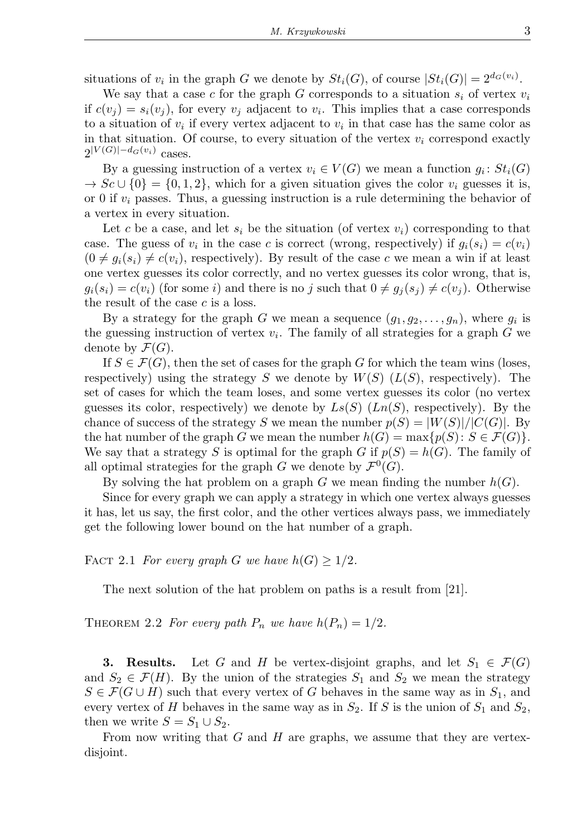situations of  $v_i$  in the graph G we denote by  $St_i(G)$ , of course  $|St_i(G)| = 2^{d_G(v_i)}$ .

We say that a case c for the graph G corresponds to a situation  $s_i$  of vertex  $v_i$ if  $c(v_j) = s_i(v_j)$ , for every  $v_j$  adjacent to  $v_i$ . This implies that a case corresponds to a situation of  $v_i$  if every vertex adjacent to  $v_i$  in that case has the same color as in that situation. Of course, to every situation of the vertex  $v_i$  correspond exactly  $2^{|V(G)|-d_G(v_i)}$  cases.

By a guessing instruction of a vertex  $v_i \in V(G)$  we mean a function  $g_i : St_i(G)$  $\rightarrow$  Sc  $\cup$  {0} = {0, 1, 2}, which for a given situation gives the color  $v_i$  guesses it is, or 0 if  $v_i$  passes. Thus, a guessing instruction is a rule determining the behavior of a vertex in every situation.

Let c be a case, and let  $s_i$  be the situation (of vertex  $v_i$ ) corresponding to that case. The guess of  $v_i$  in the case c is correct (wrong, respectively) if  $g_i(s_i) = c(v_i)$  $(0 \neq g_i(s_i) \neq c(v_i)$ , respectively). By result of the case c we mean a win if at least one vertex guesses its color correctly, and no vertex guesses its color wrong, that is,  $g_i(s_i) = c(v_i)$  (for some i) and there is no j such that  $0 \neq g_i(s_i) \neq c(v_i)$ . Otherwise the result of the case  $c$  is a loss.

By a strategy for the graph G we mean a sequence  $(g_1, g_2, \ldots, g_n)$ , where  $g_i$  is the guessing instruction of vertex  $v_i$ . The family of all strategies for a graph G we denote by  $\mathcal{F}(G)$ .

If  $S \in \mathcal{F}(G)$ , then the set of cases for the graph G for which the team wins (loses, respectively) using the strategy S we denote by  $W(S)$  ( $L(S)$ , respectively). The set of cases for which the team loses, and some vertex guesses its color (no vertex guesses its color, respectively) we denote by  $Ls(S)$  ( $Ln(S)$ , respectively). By the chance of success of the strategy S we mean the number  $p(S) = |W(S)|/|C(G)|$ . By the hat number of the graph G we mean the number  $h(G) = \max\{p(S): S \in \mathcal{F}(G)\}.$ We say that a strategy S is optimal for the graph G if  $p(S) = h(G)$ . The family of all optimal strategies for the graph G we denote by  $\mathcal{F}^0(G)$ .

By solving the hat problem on a graph G we mean finding the number  $h(G)$ .

Since for every graph we can apply a strategy in which one vertex always guesses it has, let us say, the first color, and the other vertices always pass, we immediately get the following lower bound on the hat number of a graph.

FACT 2.1 *For every graph* G we have  $h(G) \geq 1/2$ .

The next solution of the hat problem on paths is a result from [21].

THEOREM 2.2 *For every path*  $P_n$  *we have*  $h(P_n) = 1/2$ *.* 

**3. Results.** Let G and H be vertex-disjoint graphs, and let  $S_1 \in \mathcal{F}(G)$ and  $S_2 \in \mathcal{F}(H)$ . By the union of the strategies  $S_1$  and  $S_2$  we mean the strategy  $S \in \mathcal{F}(G \cup H)$  such that every vertex of G behaves in the same way as in  $S_1$ , and every vertex of H behaves in the same way as in  $S_2$ . If S is the union of  $S_1$  and  $S_2$ , then we write  $S = S_1 \cup S_2$ .

From now writing that  $G$  and  $H$  are graphs, we assume that they are vertexdisjoint.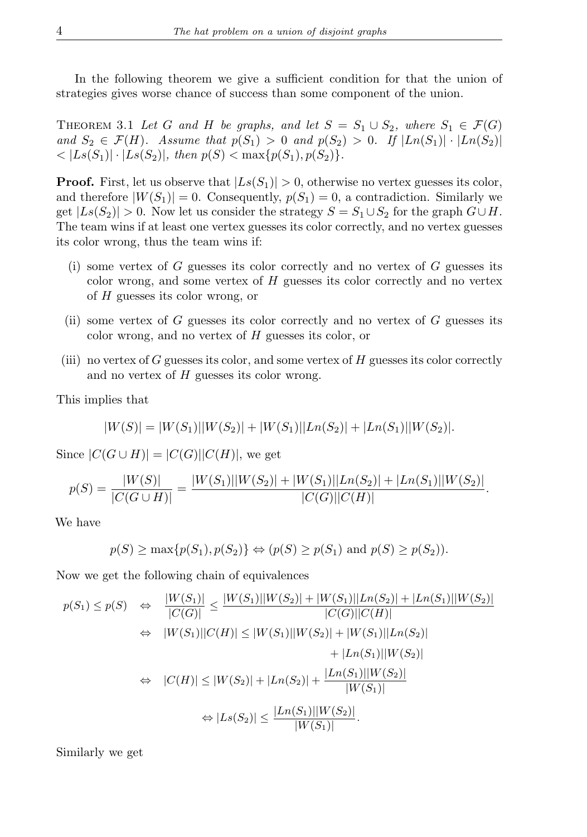In the following theorem we give a sufficient condition for that the union of strategies gives worse chance of success than some component of the union.

THEOREM 3.1 Let G and H be graphs, and let  $S = S_1 \cup S_2$ , where  $S_1 \in \mathcal{F}(G)$ and  $S_2 \in \mathcal{F}(H)$ *.* Assume that  $p(S_1) > 0$  and  $p(S_2) > 0$ *.* If  $|Ln(S_1)| \cdot |Ln(S_2)|$  $\langle |Ls(S_1)| \cdot |Ls(S_2)|$ , then  $p(S) < \max\{p(S_1), p(S_2)\}.$ 

**Proof.** First, let us observe that  $|Ls(S_1)| > 0$ , otherwise no vertex guesses its color, and therefore  $|W(S_1)| = 0$ . Consequently,  $p(S_1) = 0$ , a contradiction. Similarly we get  $|Ls(S_2)| > 0$ . Now let us consider the strategy  $S = S_1 \cup S_2$  for the graph  $G \cup H$ . The team wins if at least one vertex guesses its color correctly, and no vertex guesses its color wrong, thus the team wins if:

- (i) some vertex of  $G$  guesses its color correctly and no vertex of  $G$  guesses its color wrong, and some vertex of  $H$  guesses its color correctly and no vertex of H guesses its color wrong, or
- (ii) some vertex of  $G$  guesses its color correctly and no vertex of  $G$  guesses its color wrong, and no vertex of H guesses its color, or
- (iii) no vertex of G guesses its color, and some vertex of  $H$  guesses its color correctly and no vertex of  $H$  guesses its color wrong.

This implies that

$$
|W(S)| = |W(S_1)||W(S_2)| + |W(S_1)||Ln(S_2)| + |Ln(S_1)||W(S_2)|.
$$

Since  $|C(G \cup H)| = |C(G)||C(H)|$ , we get

$$
p(S) = \frac{|W(S)|}{|C(G \cup H)|} = \frac{|W(S_1)||W(S_2)| + |W(S_1)||Ln(S_2)| + |Ln(S_1)||W(S_2)|}{|C(G)||C(H)|}.
$$

We have

$$
p(S) \ge \max\{p(S_1), p(S_2)\} \Leftrightarrow (p(S) \ge p(S_1) \text{ and } p(S) \ge p(S_2)).
$$

Now we get the following chain of equivalences

$$
p(S_1) \le p(S) \Leftrightarrow \frac{|W(S_1)|}{|C(G)|} \le \frac{|W(S_1)||W(S_2)| + |W(S_1)||Ln(S_2)| + |Ln(S_1)||W(S_2)|}{|C(G)||C(H)|}
$$
  
\n
$$
\Leftrightarrow |W(S_1)||C(H)| \le |W(S_1)||W(S_2)| + |W(S_1)||Ln(S_2)|
$$
  
\n
$$
+ |Ln(S_1)||W(S_2)|
$$
  
\n
$$
\Leftrightarrow |C(H)| \le |W(S_2)| + |Ln(S_2)| + \frac{|Ln(S_1)||W(S_2)|}{|W(S_1)|}
$$
  
\n
$$
\Leftrightarrow |Ls(S_2)| \le \frac{|Ln(S_1)||W(S_2)|}{|W(S_1)|}.
$$

Similarly we get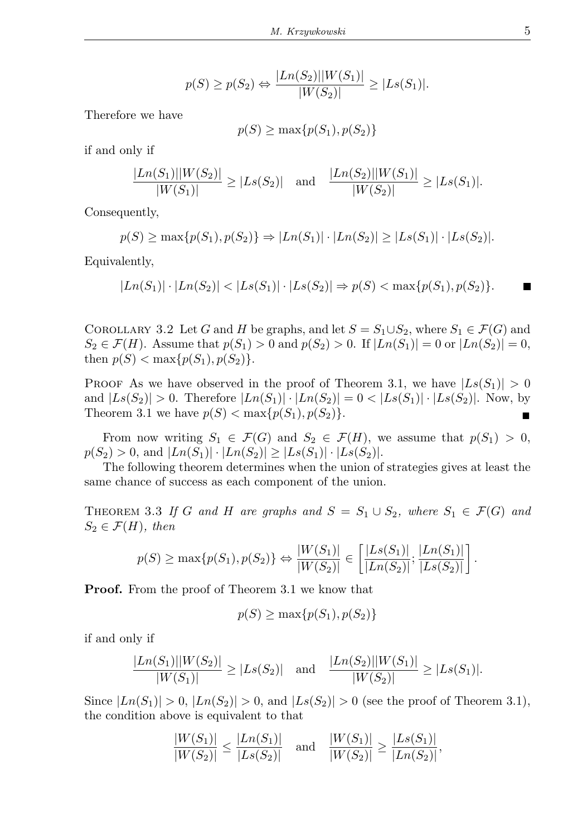$$
p(S) \ge p(S_2) \Leftrightarrow \frac{|Ln(S_2)||W(S_1)|}{|W(S_2)|} \ge |Ls(S_1)|.
$$

Therefore we have

$$
p(S) \ge \max\{p(S_1), p(S_2)\}\
$$

if and only if

$$
\frac{|Ln(S_1)||W(S_2)|}{|W(S_1)|} \ge |Ls(S_2)| \text{ and } \frac{|Ln(S_2)||W(S_1)|}{|W(S_2)|} \ge |Ls(S_1)|.
$$

Consequently,

$$
p(S) \ge \max\{p(S_1), p(S_2)\} \Rightarrow |Ln(S_1)| \cdot |Ln(S_2)| \ge |Ls(S_1)| \cdot |Ls(S_2)|.
$$

Equivalently,

$$
|Ln(S_1)| \cdot |Ln(S_2)| < |Ls(S_1)| \cdot |Ls(S_2)| \Rightarrow p(S) < \max\{p(S_1), p(S_2)\}.
$$

COROLLARY 3.2 Let G and H be graphs, and let  $S = S_1 \cup S_2$ , where  $S_1 \in \mathcal{F}(G)$  and  $S_2 \in \mathcal{F}(H)$ . Assume that  $p(S_1) > 0$  and  $p(S_2) > 0$ . If  $|Ln(S_1)| = 0$  or  $|Ln(S_2)| = 0$ , then  $p(S) < \max\{p(S_1), p(S_2)\}.$ 

PROOF As we have observed in the proof of Theorem 3.1, we have  $|Ls(S_1)| > 0$ and  $|Ls(S_2)| > 0$ . Therefore  $|Ln(S_1)| \cdot |Ln(S_2)| = 0 < |Ls(S_1)| \cdot |Ls(S_2)|$ . Now, by Theorem 3.1 we have  $p(S) < \max\{p(S_1), p(S_2)\}.$ 

From now writing  $S_1 \in \mathcal{F}(G)$  and  $S_2 \in \mathcal{F}(H)$ , we assume that  $p(S_1) > 0$ ,  $p(S_2) > 0$ , and  $|Ln(S_1)| \cdot |Ln(S_2)| \ge |Ls(S_1)| \cdot |Ls(S_2)|$ .

The following theorem determines when the union of strategies gives at least the same chance of success as each component of the union.

THEOREM 3.3 If G and H are graphs and  $S = S_1 \cup S_2$ , where  $S_1 \in \mathcal{F}(G)$  and  $S_2 \in \mathcal{F}(H)$ , then

$$
p(S) \ge \max\{p(S_1), p(S_2)\} \Leftrightarrow \frac{|W(S_1)|}{|W(S_2)|} \in \left[\frac{|Ls(S_1)|}{|Ln(S_2)|}, \frac{|Ln(S_1)|}{|Ls(S_2)|}\right].
$$

**Proof.** From the proof of Theorem 3.1 we know that

$$
p(S) \ge \max\{p(S_1), p(S_2)\}\
$$

if and only if

$$
\frac{|Ln(S_1)||W(S_2)|}{|W(S_1)|} \ge |Ls(S_2)| \text{ and } \frac{|Ln(S_2)||W(S_1)|}{|W(S_2)|} \ge |Ls(S_1)|.
$$

Since  $|Ln(S_1)| > 0$ ,  $|Ln(S_2)| > 0$ , and  $|Ls(S_2)| > 0$  (see the proof of Theorem 3.1), the condition above is equivalent to that

$$
\frac{|W(S_1)|}{|W(S_2)|} \le \frac{|Ln(S_1)|}{|Ls(S_2)|} \quad \text{and} \quad \frac{|W(S_1)|}{|W(S_2)|} \ge \frac{|Ls(S_1)|}{|Ln(S_2)|},
$$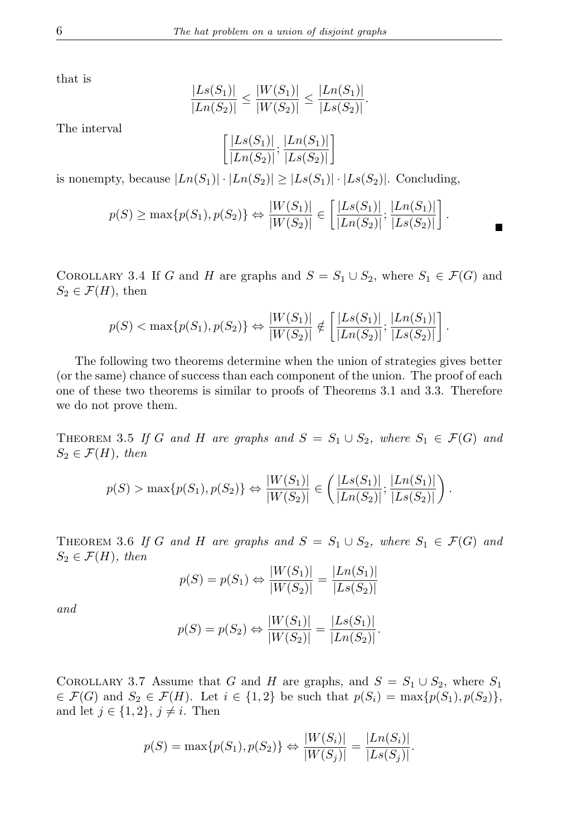that is

$$
\frac{|Ls(S_1)|}{|Ln(S_2)|} \le \frac{|W(S_1)|}{|W(S_2)|} \le \frac{|Ln(S_1)|}{|Ls(S_2)|}.
$$

The interval

$$
\left[\frac{|Ls(S_1)|}{|Ln(S_2)|}; \frac{|Ln(S_1)|}{|Ls(S_2)|}\right]
$$

is nonempty, because  $|Ln(S_1)| \cdot |Ln(S_2)| \ge |Ls(S_1)| \cdot |Ls(S_2)|$ . Concluding,

$$
p(S) \ge \max\{p(S_1), p(S_2)\} \Leftrightarrow \frac{|W(S_1)|}{|W(S_2)|} \in \left[\frac{|Ls(S_1)|}{|Ln(S_2)|}; \frac{|Ln(S_1)|}{|Ls(S_2)|}\right].
$$

.

COROLLARY 3.4 If G and H are graphs and  $S = S_1 \cup S_2$ , where  $S_1 \in \mathcal{F}(G)$  and  $S_2 \in \mathcal{F}(H)$ , then

$$
p(S) < \max\{p(S_1), p(S_2)\}\Leftrightarrow \frac{|W(S_1)|}{|W(S_2)|} \notin \left[\frac{|Ls(S_1)|}{|Ln(S_2)|}, \frac{|Ln(S_1)|}{|Ls(S_2)|}\right]
$$

The following two theorems determine when the union of strategies gives better (or the same) chance of success than each component of the union. The proof of each one of these two theorems is similar to proofs of Theorems 3.1 and 3.3. Therefore we do not prove them.

THEOREM 3.5 If G and H are graphs and  $S = S_1 \cup S_2$ , where  $S_1 \in \mathcal{F}(G)$  and  $S_2 \in \mathcal{F}(H)$ , then

$$
p(S) > \max\{p(S_1), p(S_2)\} \Leftrightarrow \frac{|W(S_1)|}{|W(S_2)|} \in \left(\frac{|Ls(S_1)|}{|Ln(S_2)|}; \frac{|Ln(S_1)|}{|Ls(S_2)|}\right).
$$

THEOREM 3.6 If G and H are graphs and  $S = S_1 \cup S_2$ , where  $S_1 \in \mathcal{F}(G)$  and  $S_2 \in \mathcal{F}(H)$ *, then* 

$$
p(S) = p(S_1) \Leftrightarrow \frac{|W(S_1)|}{|W(S_2)|} = \frac{|Ln(S_1)|}{|Ls(S_2)|}
$$

*and*

$$
p(S) = p(S_2) \Leftrightarrow \frac{|W(S_1)|}{|W(S_2)|} = \frac{|Ls(S_1)|}{|Ln(S_2)|}.
$$

COROLLARY 3.7 Assume that G and H are graphs, and  $S = S_1 \cup S_2$ , where  $S_1$  $\in \mathcal{F}(G)$  and  $S_2 \in \mathcal{F}(H)$ . Let  $i \in \{1,2\}$  be such that  $p(S_i) = \max\{p(S_1), p(S_2)\},$ and let  $j \in \{1, 2\}, j \neq i$ . Then

$$
p(S) = \max\{p(S_1), p(S_2)\} \Leftrightarrow \frac{|W(S_i)|}{|W(S_j)|} = \frac{|Ln(S_i)|}{|Ls(S_j)|}.
$$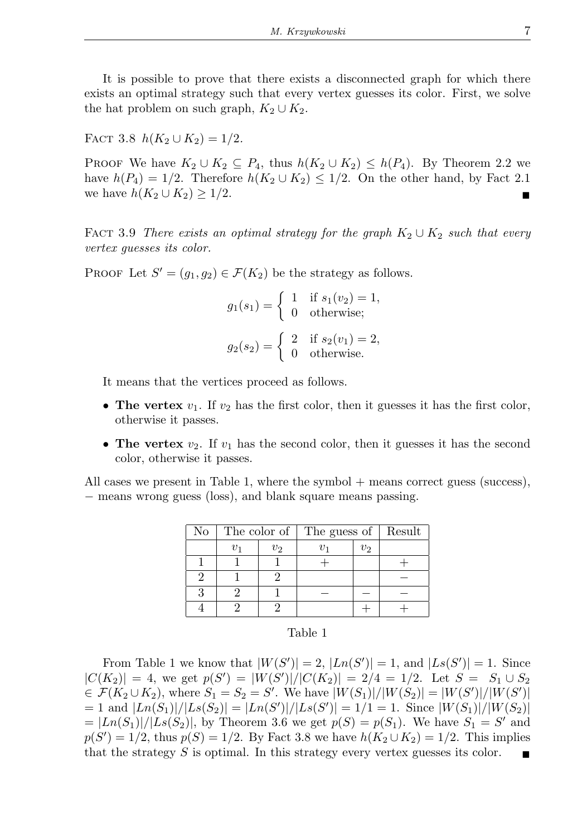It is possible to prove that there exists a disconnected graph for which there exists an optimal strategy such that every vertex guesses its color. First, we solve the hat problem on such graph,  $K_2 \cup K_2$ .

FACT 3.8 
$$
h(K_2 \cup K_2) = 1/2
$$
.

PROOF We have  $K_2 \cup K_2 \subseteq P_4$ , thus  $h(K_2 \cup K_2) \leq h(P_4)$ . By Theorem 2.2 we have  $h(P_4) = 1/2$ . Therefore  $h(K_2 \cup K_2) \leq 1/2$ . On the other hand, by Fact 2.1 we have  $h(K_2 \cup K_2) \geq 1/2$ .

FACT 3.9 *There exists an optimal strategy for the graph*  $K_2 \cup K_2$  *such that every vertex guesses its color.*

PROOF Let  $S' = (g_1, g_2) \in \mathcal{F}(K_2)$  be the strategy as follows.

$$
g_1(s_1) = \begin{cases} 1 & \text{if } s_1(v_2) = 1, \\ 0 & \text{otherwise}; \end{cases}
$$

$$
g_2(s_2) = \begin{cases} 2 & \text{if } s_2(v_1) = 2, \\ 0 & \text{otherwise}. \end{cases}
$$

It means that the vertices proceed as follows.

- **The vertex**  $v_1$ . If  $v_2$  has the first color, then it guesses it has the first color, otherwise it passes.
- **The vertex**  $v_2$ . If  $v_1$  has the second color, then it guesses it has the second color, otherwise it passes.

All cases we present in Table 1, where the symbol + means correct guess (success), − means wrong guess (loss), and blank square means passing.

| $\rm No$ |         |                | $\overline{\text{The color of}}$   The guess of | Result |  |
|----------|---------|----------------|-------------------------------------------------|--------|--|
|          | $v_{1}$ | v <sub>2</sub> |                                                 | $v_2$  |  |
|          |         |                |                                                 |        |  |
|          |         |                |                                                 |        |  |
|          |         |                |                                                 |        |  |
|          |         |                |                                                 |        |  |

## Table 1

From Table 1 we know that  $|W(S')|=2$ ,  $|Ln(S')|=1$ , and  $|Ls(S')|=1$ . Since  $|C(K_2)| = 4$ , we get  $p(S') = |W(S')|/|C(K_2)| = 2/4 = 1/2$ . Let  $S = S_1 \cup S_2$  $\in \mathcal{F}(K_2 \cup K_2)$ , where  $S_1 = S_2 = S'$ . We have  $|W(S_1)|/|W(S_2)| = |W(S')|/|W(S')|$  $= 1$  and  $|Ln(S_1)|/|Ls(S_2)| = |Ln(S')|/|Ls(S')| = 1/1 = 1$ . Since  $|W(S_1)|/|W(S_2)|$  $= |Ln(S_1)|/|Ls(S_2)|$ , by Theorem 3.6 we get  $p(S) = p(S_1)$ . We have  $S_1 = S'$  and  $p(S') = 1/2$ , thus  $p(S) = 1/2$ . By Fact 3.8 we have  $h(K_2 \cup K_2) = 1/2$ . This implies that the strategy S is optimal. In this strategy every vertex guesses its color.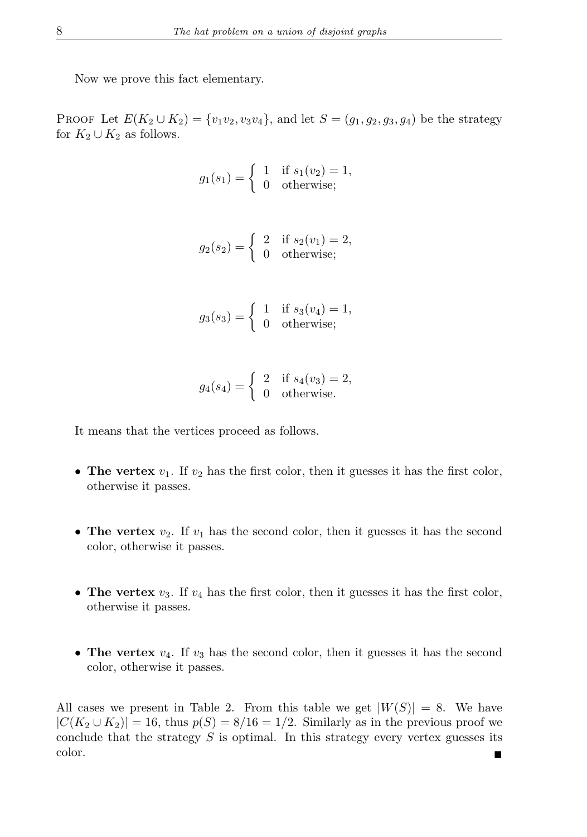Now we prove this fact elementary.

PROOF Let  $E(K_2 \cup K_2) = \{v_1v_2, v_3v_4\}$ , and let  $S = (g_1, g_2, g_3, g_4)$  be the strategy for  $K_2 \cup K_2$  as follows.

$$
g_1(s_1) = \begin{cases} 1 & \text{if } s_1(v_2) = 1, \\ 0 & \text{otherwise}; \end{cases}
$$

$$
g_2(s_2) = \begin{cases} 2 & \text{if } s_2(v_1) = 2, \\ 0 & \text{otherwise}; \end{cases}
$$

$$
g_3(s_3) = \begin{cases} 1 & \text{if } s_3(v_4) = 1, \\ 0 & \text{otherwise}; \end{cases}
$$

$$
g_4(s_4) = \begin{cases} 2 & \text{if } s_4(v_3) = 2, \\ 0 & \text{otherwise.} \end{cases}
$$

It means that the vertices proceed as follows.

- **The vertex**  $v_1$ . If  $v_2$  has the first color, then it guesses it has the first color, otherwise it passes.
- **The vertex**  $v_2$ . If  $v_1$  has the second color, then it guesses it has the second color, otherwise it passes.
- **The vertex**  $v_3$ . If  $v_4$  has the first color, then it guesses it has the first color, otherwise it passes.
- **The vertex**  $v_4$ . If  $v_3$  has the second color, then it guesses it has the second color, otherwise it passes.

All cases we present in Table 2. From this table we get  $|W(S)| = 8$ . We have  $|C(K_2 \cup K_2)| = 16$ , thus  $p(S) = 8/16 = 1/2$ . Similarly as in the previous proof we conclude that the strategy  $S$  is optimal. In this strategy every vertex guesses its color.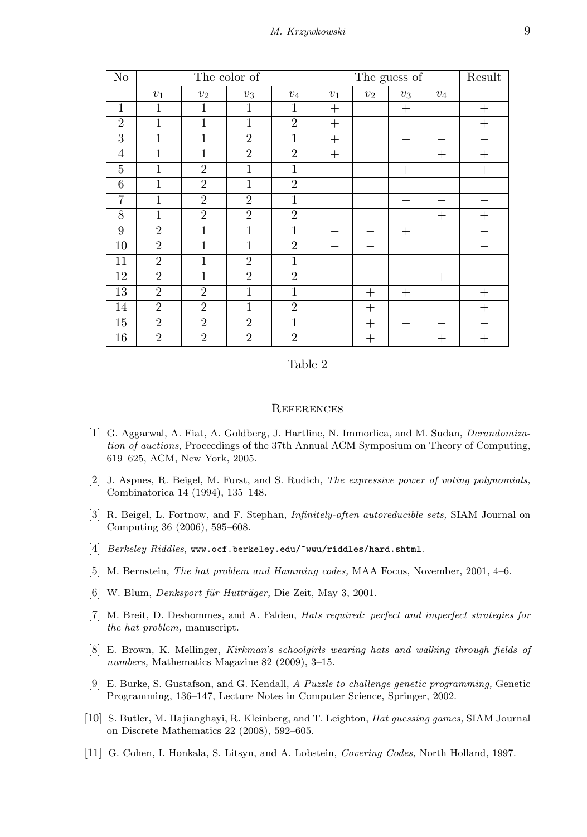| $\overline{\text{No}}$ | The color of   |                |                |                | The guess of |        |        |        | Result |
|------------------------|----------------|----------------|----------------|----------------|--------------|--------|--------|--------|--------|
|                        | $v_1$          | $v_2$          | $v_3$          | $v_4$          | $v_1$        | $v_2$  | $v_3$  | $v_4$  |        |
| $\mathbf{1}$           | 1              | $\mathbf{1}$   | $\mathbf{1}$   | 1              | $^{+}$       |        | $^{+}$ |        | $+$    |
| $\overline{2}$         | $\mathbf{1}$   | $\mathbf{1}$   | $\mathbf{1}$   | $\overline{2}$ | $^{+}$       |        |        |        | $^{+}$ |
| 3                      | $\mathbf{1}$   | $\mathbf{1}$   | $\overline{2}$ | 1              | $^{+}$       |        |        |        |        |
| $\overline{4}$         | $\mathbf{1}$   | $\overline{1}$ | $\overline{2}$ | $\overline{2}$ | $^{+}$       |        |        | $^{+}$ | $^{+}$ |
| 5                      | $\mathbf{1}$   | $\overline{2}$ | 1              | $\mathbf{1}$   |              |        | $^{+}$ |        | $^{+}$ |
| 6                      | $\mathbf{1}$   | $\overline{2}$ | $\mathbf{1}$   | $\overline{2}$ |              |        |        |        |        |
| 7                      | $\mathbf{1}$   | $\overline{2}$ | $\overline{2}$ | 1              |              |        |        |        |        |
| 8                      | $\mathbf{1}$   | $\overline{2}$ | $\overline{2}$ | $\overline{2}$ |              |        |        | $^{+}$ | $^{+}$ |
| 9                      | $\overline{2}$ | $\mathbf{1}$   | $\mathbf{1}$   | 1              |              |        | $^{+}$ |        |        |
| 10                     | $\overline{2}$ | $\mathbf{1}$   | $\mathbf{1}$   | $\overline{2}$ |              |        |        |        |        |
| 11                     | $\overline{2}$ | $\overline{1}$ | $\overline{2}$ | $\mathbf{1}$   |              |        |        |        |        |
| $\overline{12}$        | $\overline{2}$ | $\overline{1}$ | $\overline{2}$ | $\overline{2}$ |              |        |        | $^{+}$ |        |
| $\overline{13}$        | $\overline{2}$ | $\overline{2}$ | $\mathbf{1}$   | $\mathbf{1}$   |              | $+$    | $^{+}$ |        | $^{+}$ |
| 14                     | $\overline{2}$ | $\overline{2}$ | $\mathbf{1}$   | $\overline{2}$ |              | $^{+}$ |        |        | $^{+}$ |
| 15                     | $\overline{2}$ | $\overline{2}$ | $\overline{2}$ | $\mathbf{1}$   |              | $^{+}$ |        |        |        |
| $\overline{16}$        | $\overline{2}$ | $\overline{2}$ | $\overline{2}$ | $\overline{2}$ |              | $^{+}$ |        | $^+$   | $^{+}$ |

## Table 2

## **REFERENCES**

- [1] G. Aggarwal, A. Fiat, A. Goldberg, J. Hartline, N. Immorlica, and M. Sudan, *Derandomization of auctions,* Proceedings of the 37th Annual ACM Symposium on Theory of Computing, 619–625, ACM, New York, 2005.
- [2] J. Aspnes, R. Beigel, M. Furst, and S. Rudich, *The expressive power of voting polynomials,* Combinatorica 14 (1994), 135–148.
- [3] R. Beigel, L. Fortnow, and F. Stephan, *Infinitely-often autoreducible sets,* SIAM Journal on Computing 36 (2006), 595–608.
- [4] *Berkeley Riddles,* www.ocf.berkeley.edu/~wwu/riddles/hard.shtml.
- [5] M. Bernstein, *The hat problem and Hamming codes,* MAA Focus, November, 2001, 4–6.
- [6] W. Blum, *Denksport für Hutträger*, Die Zeit, May 3, 2001.
- [7] M. Breit, D. Deshommes, and A. Falden, *Hats required: perfect and imperfect strategies for the hat problem,* manuscript.
- [8] E. Brown, K. Mellinger, *Kirkman's schoolgirls wearing hats and walking through fields of numbers,* Mathematics Magazine 82 (2009), 3–15.
- [9] E. Burke, S. Gustafson, and G. Kendall, *A Puzzle to challenge genetic programming,* Genetic Programming, 136–147, Lecture Notes in Computer Science, Springer, 2002.
- [10] S. Butler, M. Hajianghayi, R. Kleinberg, and T. Leighton, *Hat guessing games,* SIAM Journal on Discrete Mathematics 22 (2008), 592–605.
- [11] G. Cohen, I. Honkala, S. Litsyn, and A. Lobstein, *Covering Codes,* North Holland, 1997.